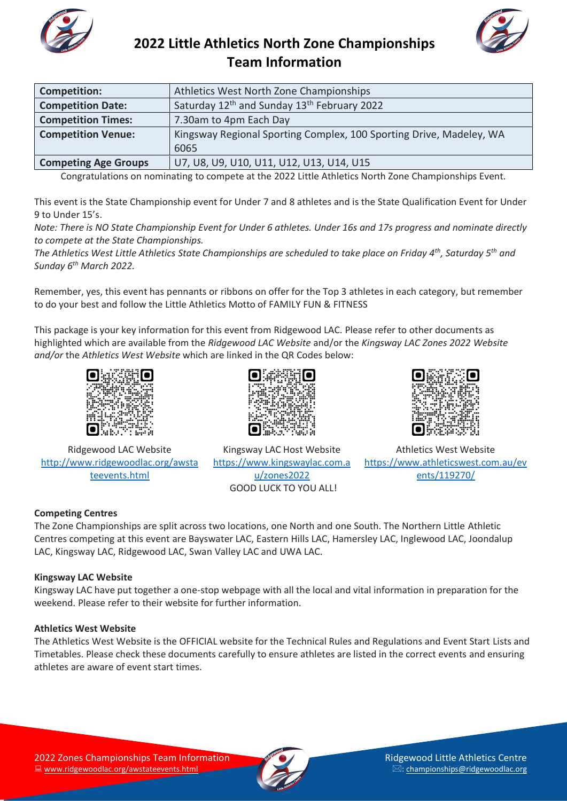



| <b>Competition:</b>         | Athletics West North Zone Championships                             |  |  |
|-----------------------------|---------------------------------------------------------------------|--|--|
| <b>Competition Date:</b>    | Saturday 12 <sup>th</sup> and Sunday 13 <sup>th</sup> February 2022 |  |  |
| <b>Competition Times:</b>   | 7.30am to 4pm Each Day                                              |  |  |
| <b>Competition Venue:</b>   | Kingsway Regional Sporting Complex, 100 Sporting Drive, Madeley, WA |  |  |
|                             | 6065                                                                |  |  |
| <b>Competing Age Groups</b> | U7, U8, U9, U10, U11, U12, U13, U14, U15                            |  |  |

Congratulations on nominating to compete at the 2022 Little Athletics North Zone Championships Event.

This event is the State Championship event for Under 7 and 8 athletes and is the State Qualification Event for Under 9 to Under 15's.

*Note: There is NO State Championship Event for Under 6 athletes. Under 16s and 17s progress and nominate directly to compete at the State Championships.* 

*The Athletics West Little Athletics State Championships are scheduled to take place on Friday 4th, Saturday 5th and Sunday 6th March 2022.* 

Remember, yes, this event has pennants or ribbons on offer for the Top 3 athletes in each category, but remember to do your best and follow the Little Athletics Motto of FAMILY FUN & FITNESS

This package is your key information for this event from Ridgewood LAC. Please refer to other documents as highlighted which are available from the *Ridgewood LAC Website* and/or the *Kingsway LAC Zones 2022 Website and/or* the *Athletics West Website* which are linked in the QR Codes below:



Ridgewood LAC Website [http://www.ridgewoodlac.org/awsta](http://www.ridgewoodlac.org/awstateevents.html) [teevents.html](http://www.ridgewoodlac.org/awstateevents.html)

æt. Kingsway LAC Host Website [https://www.kingswaylac.com.a](https://www.kingswaylac.com.au/zones2022)

[u/zones2022](https://www.kingswaylac.com.au/zones2022) GOOD LUCK TO YOU ALL!



Athletics West Website [https://www.athleticswest.com.au/ev](https://www.athleticswest.com.au/events/119270/) [ents/119270/](https://www.athleticswest.com.au/events/119270/)

### **Competing Centres**

The Zone Championships are split across two locations, one North and one South. The Northern Little Athletic Centres competing at this event are Bayswater LAC, Eastern Hills LAC, Hamersley LAC, Inglewood LAC, Joondalup LAC, Kingsway LAC, Ridgewood LAC, Swan Valley LAC and UWA LAC.

### **Kingsway LAC Website**

Kingsway LAC have put together a one-stop webpage with all the local and vital information in preparation for the weekend. Please refer to their website for further information.

#### **Athletics West Website**

The Athletics West Website is the OFFICIAL website for the Technical Rules and Regulations and Event Start Lists and Timetables. Please check these documents carefully to ensure athletes are listed in the correct events and ensuring athletes are aware of event start times.

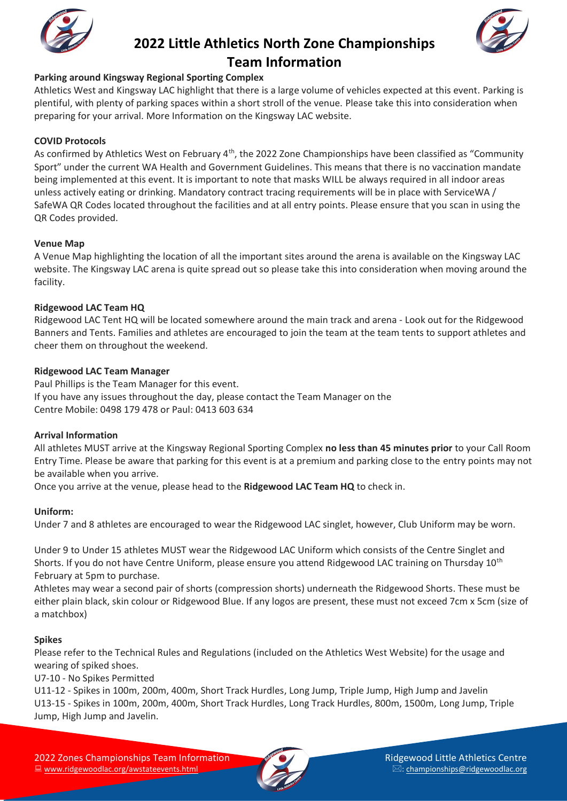



### **Parking around Kingsway Regional Sporting Complex**

Athletics West and Kingsway LAC highlight that there is a large volume of vehicles expected at this event. Parking is plentiful, with plenty of parking spaces within a short stroll of the venue. Please take this into consideration when preparing for your arrival. More Information on the Kingsway LAC website.

#### **COVID Protocols**

As confirmed by Athletics West on February 4<sup>th</sup>, the 2022 Zone Championships have been classified as "Community Sport" under the current WA Health and Government Guidelines. This means that there is no vaccination mandate being implemented at this event. It is important to note that masks WILL be always required in all indoor areas unless actively eating or drinking. Mandatory contract tracing requirements will be in place with ServiceWA / SafeWA QR Codes located throughout the facilities and at all entry points. Please ensure that you scan in using the QR Codes provided.

#### **Venue Map**

A Venue Map highlighting the location of all the important sites around the arena is available on the Kingsway LAC website. The Kingsway LAC arena is quite spread out so please take this into consideration when moving around the facility.

#### **Ridgewood LAC Team HQ**

Ridgewood LAC Tent HQ will be located somewhere around the main track and arena - Look out for the Ridgewood Banners and Tents. Families and athletes are encouraged to join the team at the team tents to support athletes and cheer them on throughout the weekend.

#### **Ridgewood LAC Team Manager**

Paul Phillips is the Team Manager for this event. If you have any issues throughout the day, please contact the Team Manager on the Centre Mobile: 0498 179 478 or Paul: 0413 603 634

#### **Arrival Information**

All athletes MUST arrive at the Kingsway Regional Sporting Complex **no less than 45 minutes prior** to your Call Room Entry Time. Please be aware that parking for this event is at a premium and parking close to the entry points may not be available when you arrive.

Once you arrive at the venue, please head to the **Ridgewood LAC Team HQ** to check in.

### **Uniform:**

Under 7 and 8 athletes are encouraged to wear the Ridgewood LAC singlet, however, Club Uniform may be worn.

Under 9 to Under 15 athletes MUST wear the Ridgewood LAC Uniform which consists of the Centre Singlet and Shorts. If you do not have Centre Uniform, please ensure you attend Ridgewood LAC training on Thursday 10<sup>th</sup> February at 5pm to purchase.

Athletes may wear a second pair of shorts (compression shorts) underneath the Ridgewood Shorts. These must be either plain black, skin colour or Ridgewood Blue. If any logos are present, these must not exceed 7cm x 5cm (size of a matchbox)

### **Spikes**

Please refer to the Technical Rules and Regulations (included on the Athletics West Website) for the usage and wearing of spiked shoes.

U7-10 - No Spikes Permitted

U11-12 - Spikes in 100m, 200m, 400m, Short Track Hurdles, Long Jump, Triple Jump, High Jump and Javelin U13-15 - Spikes in 100m, 200m, 400m, Short Track Hurdles, Long Track Hurdles, 800m, 1500m, Long Jump, Triple Jump, High Jump and Javelin.

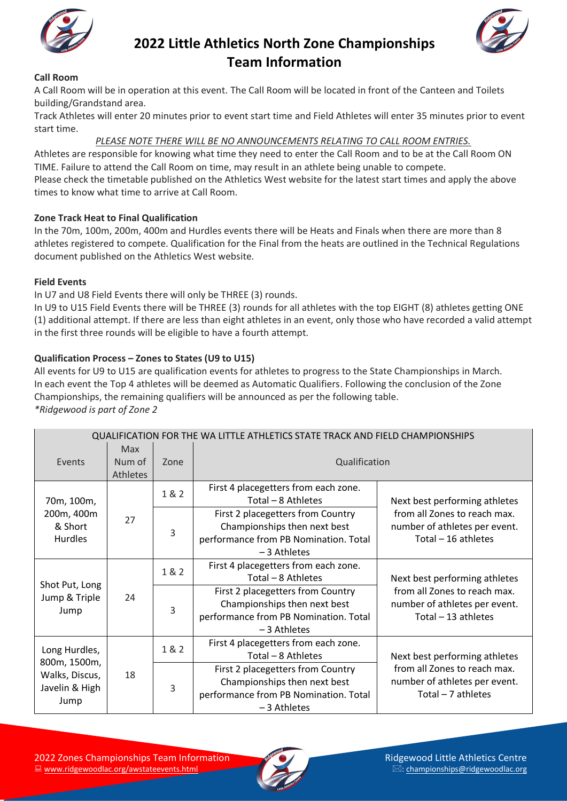





### **Call Room**

A Call Room will be in operation at this event. The Call Room will be located in front of the Canteen and Toilets building/Grandstand area.

Track Athletes will enter 20 minutes prior to event start time and Field Athletes will enter 35 minutes prior to event start time.

*PLEASE NOTE THERE WILL BE NO ANNOUNCEMENTS RELATING TO CALL ROOM ENTRIES.*

Athletes are responsible for knowing what time they need to enter the Call Room and to be at the Call Room ON TIME. Failure to attend the Call Room on time, may result in an athlete being unable to compete. Please check the timetable published on the Athletics West website for the latest start times and apply the above times to know what time to arrive at Call Room.

### **Zone Track Heat to Final Qualification**

In the 70m, 100m, 200m, 400m and Hurdles events there will be Heats and Finals when there are more than 8 athletes registered to compete. Qualification for the Final from the heats are outlined in the Technical Regulations document published on the Athletics West website.

### **Field Events**

In U7 and U8 Field Events there will only be THREE (3) rounds.

In U9 to U15 Field Events there will be THREE (3) rounds for all athletes with the top EIGHT (8) athletes getting ONE (1) additional attempt. If there are less than eight athletes in an event, only those who have recorded a valid attempt in the first three rounds will be eligible to have a fourth attempt.

### **Qualification Process – Zones to States (U9 to U15)**

All events for U9 to U15 are qualification events for athletes to progress to the State Championships in March. In each event the Top 4 athletes will be deemed as Automatic Qualifiers. Following the conclusion of the Zone Championships, the remaining qualifiers will be announced as per the following table. *\*Ridgewood is part of Zone 2*

| QUALIFICATION FOR THE WA LITTLE ATHLETICS STATE TRACK AND FIELD CHAMPIONSHIPS |                           |       |                                                                                                                             |                                                                                       |
|-------------------------------------------------------------------------------|---------------------------|-------|-----------------------------------------------------------------------------------------------------------------------------|---------------------------------------------------------------------------------------|
| Events                                                                        | Max<br>Num of<br>Athletes | Zone  | Qualification                                                                                                               |                                                                                       |
| 70m, 100m,<br>200m, 400m<br>& Short<br><b>Hurdles</b>                         | 27                        | 1 & 2 | First 4 placegetters from each zone.<br>Total - 8 Athletes                                                                  | Next best performing athletes                                                         |
|                                                                               |                           | 3     | First 2 placegetters from Country<br>Championships then next best<br>performance from PB Nomination. Total<br>-3 Athletes   | from all Zones to reach max.<br>number of athletes per event.<br>Total - 16 athletes  |
| Shot Put, Long<br>Jump & Triple<br>Jump                                       | 24                        | 1 & 2 | First 4 placegetters from each zone.<br>Total - 8 Athletes                                                                  | Next best performing athletes                                                         |
|                                                                               |                           | 3     | First 2 placegetters from Country<br>Championships then next best<br>performance from PB Nomination. Total<br>$-3$ Athletes | from all Zones to reach max.<br>number of athletes per event.<br>Total $-13$ athletes |
| Long Hurdles,<br>800m, 1500m,<br>Walks, Discus,<br>Javelin & High<br>Jump     | 18                        | 1 & 2 | First 4 placegetters from each zone.<br>Total - 8 Athletes                                                                  | Next best performing athletes                                                         |
|                                                                               |                           | 3     | First 2 placegetters from Country<br>Championships then next best<br>performance from PB Nomination. Total<br>-3 Athletes   | from all Zones to reach max.<br>number of athletes per event.<br>Total $-7$ athletes  |

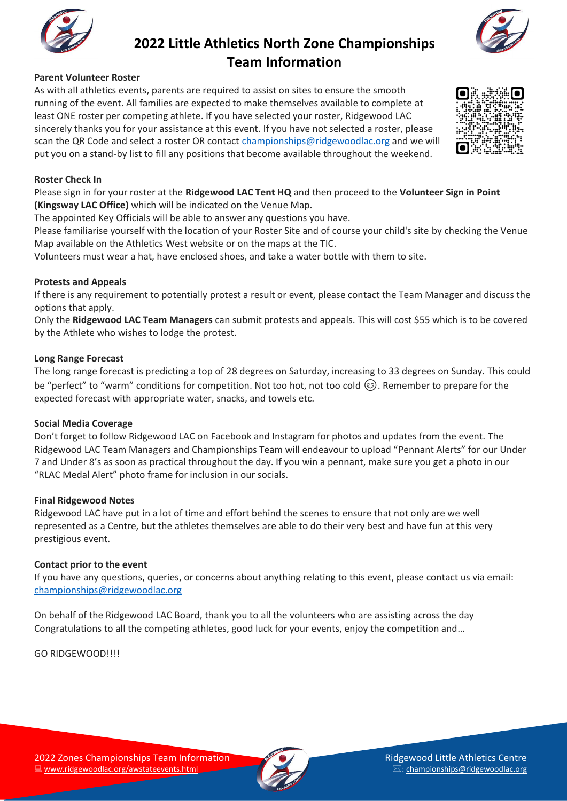

#### **Parent Volunteer Roster**

As with all athletics events, parents are required to assist on sites to ensure the smooth running of the event. All families are expected to make themselves available to complete at least ONE roster per competing athlete. If you have selected your roster, Ridgewood LAC sincerely thanks you for your assistance at this event. If you have not selected a roster, please scan the QR Code and select a roster OR contact [championships@ridgewoodlac.org](mailto:championships@ridgewoodlac.org) and we will put you on a stand-by list to fill any positions that become available throughout the weekend.

#### **Roster Check In**

Please sign in for your roster at the **Ridgewood LAC Tent HQ** and then proceed to the **Volunteer Sign in Point (Kingsway LAC Office)** which will be indicated on the Venue Map.

The appointed Key Officials will be able to answer any questions you have.

Please familiarise yourself with the location of your Roster Site and of course your child's site by checking the Venue Map available on the Athletics West website or on the maps at the TIC.

Volunteers must wear a hat, have enclosed shoes, and take a water bottle with them to site.

#### **Protests and Appeals**

If there is any requirement to potentially protest a result or event, please contact the Team Manager and discuss the options that apply.

Only the **Ridgewood LAC Team Managers** can submit protests and appeals. This will cost \$55 which is to be covered by the Athlete who wishes to lodge the protest.

#### **Long Range Forecast**

The long range forecast is predicting a top of 28 degrees on Saturday, increasing to 33 degrees on Sunday. This could be "perfect" to "warm" conditions for competition. Not too hot, not too cold  $\odot$ . Remember to prepare for the expected forecast with appropriate water, snacks, and towels etc.

#### **Social Media Coverage**

Don't forget to follow Ridgewood LAC on Facebook and Instagram for photos and updates from the event. The Ridgewood LAC Team Managers and Championships Team will endeavour to upload "Pennant Alerts" for our Under 7 and Under 8's as soon as practical throughout the day. If you win a pennant, make sure you get a photo in our "RLAC Medal Alert" photo frame for inclusion in our socials.

#### **Final Ridgewood Notes**

Ridgewood LAC have put in a lot of time and effort behind the scenes to ensure that not only are we well represented as a Centre, but the athletes themselves are able to do their very best and have fun at this very prestigious event.

#### **Contact prior to the event**

If you have any questions, queries, or concerns about anything relating to this event, please contact us via email: [championships@ridgewoodlac.org](mailto:championships@ridgewoodlac.org)

On behalf of the Ridgewood LAC Board, thank you to all the volunteers who are assisting across the day Congratulations to all the competing athletes, good luck for your events, enjoy the competition and…

GO RIDGEWOOD!!!!









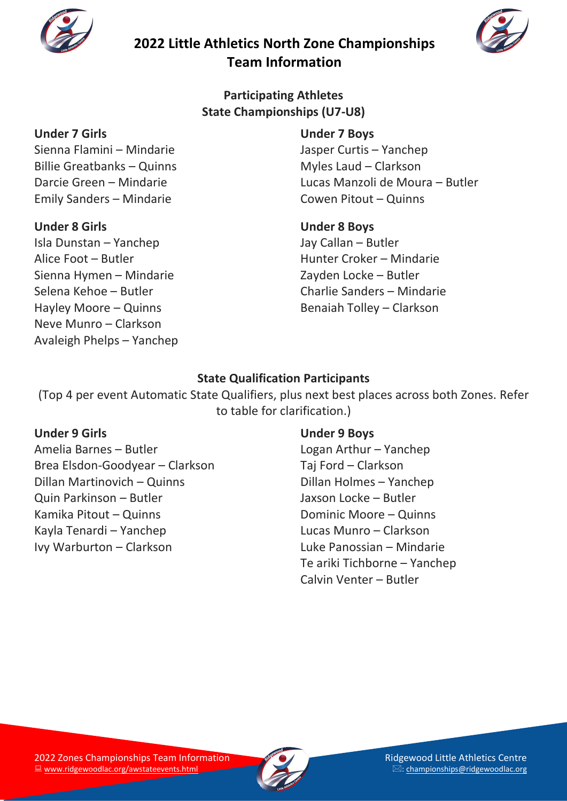



**Participating Athletes State Championships (U7-U8)**

### **Under 7 Girls**

Sienna Flamini – Mindarie Billie Greatbanks – Quinns Darcie Green – Mindarie Emily Sanders – Mindarie

### **Under 8 Girls**

Isla Dunstan – Yanchep Alice Foot – Butler Sienna Hymen – Mindarie Selena Kehoe – Butler Hayley Moore – Quinns Neve Munro – Clarkson Avaleigh Phelps – Yanchep

## **Under 7 Boys** Jasper Curtis – Yanchep Myles Laud – Clarkson Lucas Manzoli de Moura – Butler Cowen Pitout – Quinns

### **Under 8 Boys** Jay Callan – Butler Hunter Croker – Mindarie Zayden Locke – Butler Charlie Sanders – Mindarie Benaiah Tolley – Clarkson

# **State Qualification Participants**

(Top 4 per event Automatic State Qualifiers, plus next best places across both Zones. Refer to table for clarification.)

### **Under 9 Girls**

Amelia Barnes – Butler Brea Elsdon-Goodyear – Clarkson Dillan Martinovich – Quinns Quin Parkinson – Butler Kamika Pitout – Quinns Kayla Tenardi – Yanchep Ivy Warburton – Clarkson

### **Under 9 Boys**

Logan Arthur – Yanchep Taj Ford – Clarkson Dillan Holmes – Yanchep Jaxson Locke – Butler Dominic Moore – Quinns Lucas Munro – Clarkson Luke Panossian – Mindarie Te ariki Tichborne – Yanchep Calvin Venter – Butler

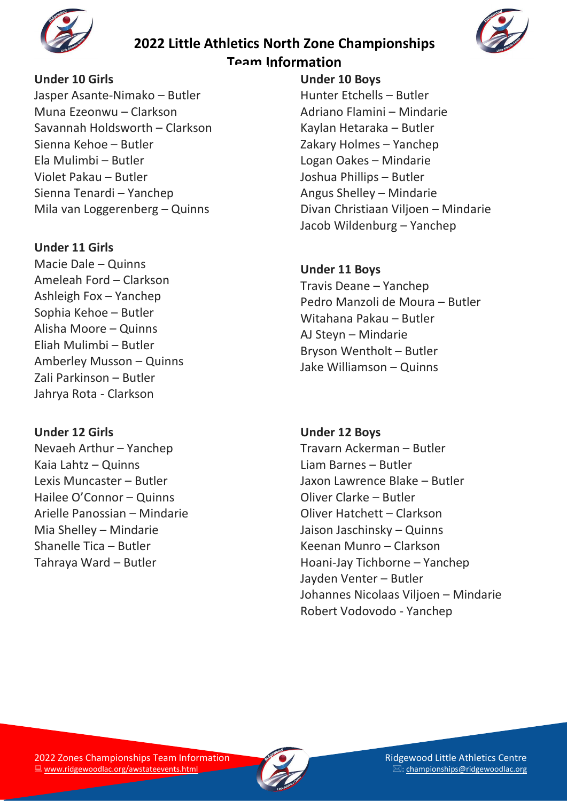



### **Under 10 Girls**

Jasper Asante-Nimako – Butler Muna Ezeonwu – Clarkson Savannah Holdsworth – Clarkson Sienna Kehoe – Butler Ela Mulimbi – Butler Violet Pakau – Butler Sienna Tenardi – Yanchep Mila van Loggerenberg – Quinns

### **Under 11 Girls**

Macie Dale – Quinns Ameleah Ford – Clarkson Ashleigh Fox – Yanchep Sophia Kehoe – Butler Alisha Moore – Quinns Eliah Mulimbi – Butler Amberley Musson – Quinns Zali Parkinson – Butler Jahrya Rota - Clarkson

### **Under 12 Girls**

Nevaeh Arthur – Yanchep Kaia Lahtz – Quinns Lexis Muncaster – Butler Hailee O'Connor – Quinns Arielle Panossian – Mindarie Mia Shelley – Mindarie Shanelle Tica – Butler Tahraya Ward – Butler

### **Under 10 Boys** Hunter Etchells – Butler Adriano Flamini – Mindarie Kaylan Hetaraka – Butler Zakary Holmes – Yanchep Logan Oakes – Mindarie Joshua Phillips – Butler Angus Shelley – Mindarie Divan Christiaan Viljoen – Mindarie Jacob Wildenburg – Yanchep

### **Under 11 Boys**

Travis Deane – Yanchep Pedro Manzoli de Moura – Butler Witahana Pakau – Butler AJ Steyn – Mindarie Bryson Wentholt – Butler Jake Williamson – Quinns

## **Under 12 Boys**

Travarn Ackerman – Butler Liam Barnes – Butler Jaxon Lawrence Blake – Butler Oliver Clarke – Butler Oliver Hatchett – Clarkson Jaison Jaschinsky – Quinns Keenan Munro – Clarkson Hoani-Jay Tichborne – Yanchep Jayden Venter – Butler Johannes Nicolaas Viljoen – Mindarie Robert Vodovodo - Yanchep

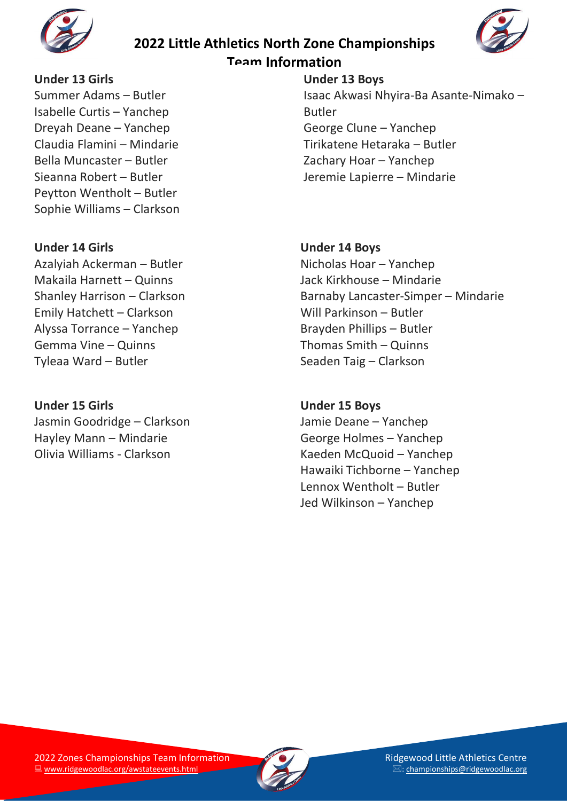

# **2022 Little Athletics North Zone Championships**



### **Team Information**

### **Under 13 Girls**

Summer Adams – Butler Isabelle Curtis – Yanchep Dreyah Deane – Yanchep Claudia Flamini – Mindarie Bella Muncaster – Butler Sieanna Robert – Butler Peytton Wentholt – Butler Sophie Williams – Clarkson

### **Under 14 Girls**

Azalyiah Ackerman – Butler Makaila Harnett – Quinns Shanley Harrison – Clarkson Emily Hatchett – Clarkson Alyssa Torrance – Yanchep Gemma Vine – Quinns Tyleaa Ward – Butler

### **Under 15 Girls**

Jasmin Goodridge – Clarkson Hayley Mann – Mindarie Olivia Williams - Clarkson

### **Under 13 Boys** Isaac Akwasi Nhyira-Ba Asante-Nimako – Butler George Clune – Yanchep Tirikatene Hetaraka – Butler Zachary Hoar – Yanchep Jeremie Lapierre – Mindarie

### **Under 14 Boys**

Nicholas Hoar – Yanchep Jack Kirkhouse – Mindarie Barnaby Lancaster-Simper – Mindarie Will Parkinson – Butler Brayden Phillips – Butler Thomas Smith – Quinns Seaden Taig – Clarkson

### **Under 15 Boys**

Jamie Deane – Yanchep George Holmes – Yanchep Kaeden McQuoid – Yanchep Hawaiki Tichborne – Yanchep Lennox Wentholt – Butler Jed Wilkinson – Yanchep